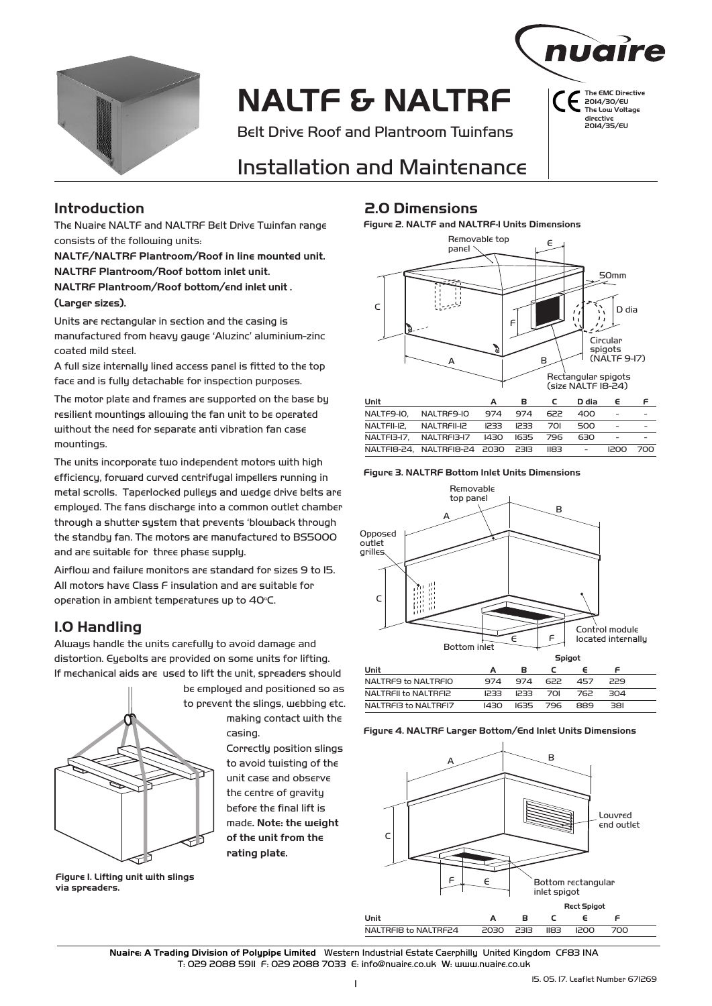

# **NALTF & NALTRF**

Belt Drive Roof and Plantroom Twinfans



**The EMC Directive**  2014/30/EU **The Low Voltage directive**  2014/35/EU

# Installation and Maintenance

The Nuaire NALTF and NALTRF Belt Drive Twinfan range consists of the following units:

**NALTF/NALTRF Plantroom/Roof in line mounted unit. NALTRF Plantroom/Roof bottom inlet unit.** 

**NALTRF Plantroom/Roof bottom/end inlet unit .** 

#### **(Larger sizes).**

Units are rectangular in section and the casing is manufactured from heavy gauge 'Aluzinc' aluminium-zinc coated mild steel.

A full size internally lined access panel is fitted to the top face and is fully detachable for inspection purposes.

The motor plate and frames are supported on the base by resilient mountings allowing the fan unit to be operated without the need for separate anti vibration fan case mountings.

The units incorporate two independent motors with high efficiency, forward curved centrifugal impellers running in metal scrolls. Taperlocked pulleys and wedge drive belts are employed. The fans discharge into a common outlet chamber through a shutter system that prevents 'blowback through the standby fan. The motors are manufactured to BS5000 and are suitable for three phase supply.

Airflow and failure monitors are standard for sizes 9 to 15. All motors have Class F insulation and are suitable for operation in ambient temperatures up to  $40^{\circ}$ C.

## **1.0 Handling**

Always handle the units carefully to avoid damage and distortion. Eyebolts are provided on some units for lifting. If mechanical aids are used to lift the unit, spreaders should



**Figure 1. Lifting unit with slings via spreaders.**

**Introduction 2.0 Dimensions**

**Figure 2. NALTF and NALTRF-1 Units Dimensions**



#### **Figure 3. NALTRF Bottom Inlet Units Dimensions**



#### **Figure 4. NALTRF Larger Bottom/End Inlet Units Dimensions**



Nuaire: A Trading Division of Polypipe Limited Western Industrial Estate Caerphilly United Kingdom CF83 1NA T: 029 2088 5911 F: 029 2088 7033 E: info@nuaire.co.uk W: www.nuaire.co.uk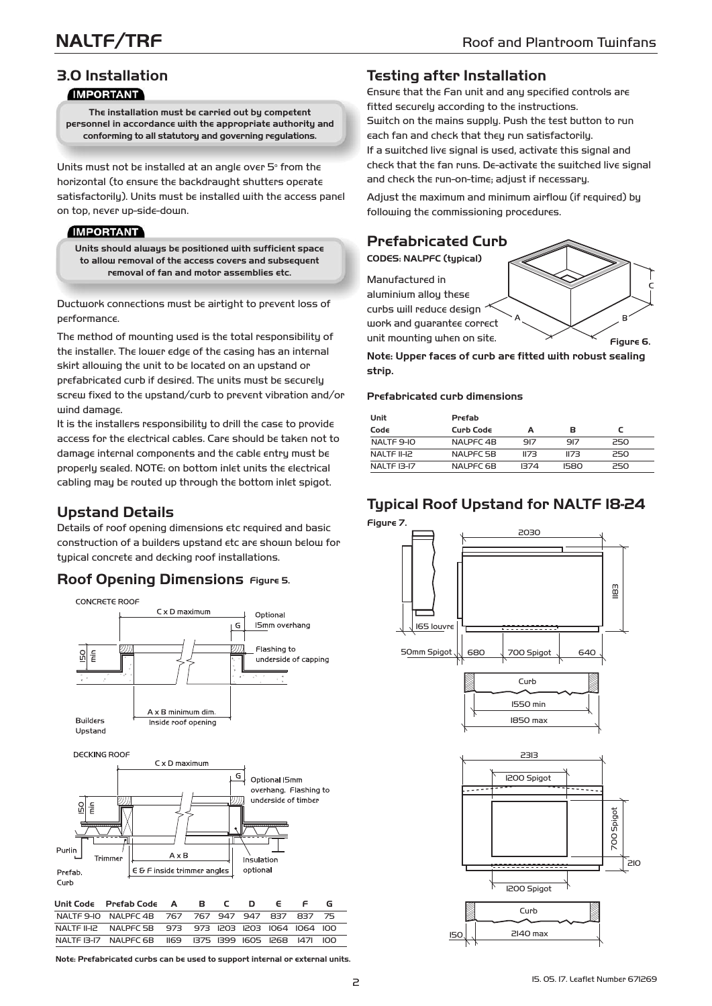## **3.0 Installation IMPORTANT**

**The installation must be carried out by competent personnel in accordance with the appropriate authority and conforming to all statutory and governing regulations.**

Units must not be installed at an angle over  $5^{\circ}$  from the horizontal (to ensure the backdraught shutters operate satisfactorily). Units must be installed with the access panel on top, never up-side-down.

## **IMPORTANT**

**Units should always be positioned with sufficient space to allow removal of the access covers and subsequent removal of fan and motor assemblies etc.** 

Ductwork connections must be airtight to prevent loss of performance.

The method of mounting used is the total responsibility of the installer. The lower edge of the casing has an internal skirt allowing the unit to be located on an upstand or prefabricated curb if desired. The units must be securely screw fixed to the upstand/curb to prevent vibration and/or wind damage.

It is the installers responsibility to drill the case to provide access for the electrical cables. Care should be taken not to damage internal components and the cable entry must be properly sealed. NOTE: on bottom inlet units the electrical cabling may be routed up through the bottom inlet spigot.

# **Upstand Details**

Details of roof opening dimensions etc required and basic construction of a builders upstand etc are shown below for typical concrete and decking roof installations.

## **Roof Opening Dimensions Figure 5.**



**Note: Prefabricated curbs can be used to support internal or external units.**

## **Testing after Installation**

Ensure that the Fan unit and any specified controls are fitted securely according to the instructions. Switch on the mains supply. Push the test button to run each fan and check that they run satisfactorily. If a switched live signal is used, activate this signal and check that the fan runs. De-activate the switched live signal and check the run-on-time; adjust if necessary.

Adjust the maximum and minimum airflow (if required) by following the commissioning procedures.

## **Prefabricated Curb**

**CODES: NALPFC (typical)**

Manufactured in aluminium alloy these

curbs will reduce design

work and guarantee correct

Ē unit mounting when on site. **Figure 6.**

**Note: Upper faces of curb are fitted with robust sealing strip.**

#### **Prefabricated curb dimensions**

**Unit Prefab**

| um          | rreiav    |      |      |     |  |  |
|-------------|-----------|------|------|-----|--|--|
| Code        | Curb Code | А    | в    |     |  |  |
| NALTF 9-IO  | NALPFC 4B | 917  | 917  | 250 |  |  |
| NALTF II-IZ | NALPFC 5B | II73 | II73 | 250 |  |  |
| NALTF 13-17 | NALPFC 6B | 1374 | 1580 | 250 |  |  |
|             |           |      |      |     |  |  |

# **Typical Roof Upstand for NALTF 18-24**

**Figure 7.**



2140 max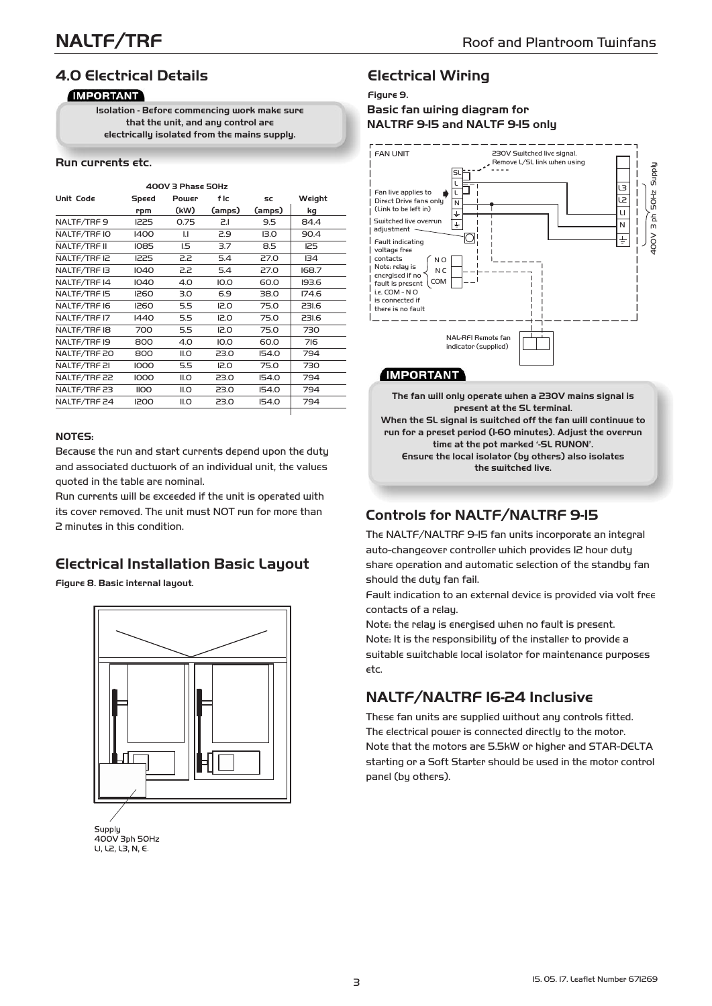# **4.0 Electrical Details**

## **IMPORTANT**

**Isolation - Before commencing work make sure that the unit, and any control are electrically isolated from the mains supply.**

#### **Run currents etc.**

| $400V$ 3 Phase 50Hz |             |              |        |              |            |  |  |  |
|---------------------|-------------|--------------|--------|--------------|------------|--|--|--|
| Unit Code           | Speed       | Power        | f Ic   | SC           | Weight     |  |  |  |
|                     | rpm         | (kW)         | (amps) | (amps)       | kg         |  |  |  |
| NALTF/TRF9          | 1225        | 0.75         | 2.1    | 9.5          | 84.4       |  |  |  |
| NALTF/TRF IO        | 1400        | $\mathsf{L}$ | 2.9    | 13.0         | 90.4       |  |  |  |
| NALTF/TRF II        | 1085        | L5           | 3.7    | 8.5          | <b>I25</b> |  |  |  |
| NALTF/TRF IZ        | 1225        | 2.2          | 5.4    | 27.0         | 134        |  |  |  |
| NALTF/TRF I3        | 1040        | 5.5          | 5.4    | 27.0         | 168.7      |  |  |  |
| NALTF/TRF 14        | 1040        | 4.0          | 10.0   | 60.0         | 193.6      |  |  |  |
| NALTF/TRF I5        | 1260        | 3.0          | 6.9    | 38.0         | 174.6      |  |  |  |
| NALTF/TRF I6        | 1260        | 5.5          | 12.0   | 75.0         | 231.6      |  |  |  |
| NALTF/TRF I7        | 1440        | 5.5          | 12.0   | 75.0         | 231.6      |  |  |  |
| NALTF/TRF I8        | 700         | 5.5          | IZ.O   | 75.0         | 730        |  |  |  |
| NALTF/TRF I9        | 800         | 4.0          | IO.0   | 60.0         | 716        |  |  |  |
| NALTF/TRF 20        | 800         | II.O         | 23.0   | <b>154.0</b> | 794        |  |  |  |
| NALTF/TRF 2I        | 1000        | 5.5          | 12.0   | 75.0         | 730        |  |  |  |
| NALTF/TRF 22        | 1000        | ILO          | 23.0   | <b>154.0</b> | 794        |  |  |  |
| NALTF/TRF 23        | <b>IIOO</b> | ILO          | 23.0   | <b>IS4.0</b> | 794        |  |  |  |
| NALTF/TRF 24        | 1200        | ILO          | 23.0   | <b>154.0</b> | 794        |  |  |  |
|                     |             |              |        |              |            |  |  |  |

#### **NOTES:**

Because the run and start currents depend upon the duty and associated ductwork of an individual unit, the values quoted in the table are nominal.

Run currents will be exceeded if the unit is operated with its cover removed. The unit must NOT run for more than 2 minutes in this condition.

## **Electrical Installation Basic Layout**

**Figure 8. Basic internal layout.**





## **Electrical Wiring**

**Figure 9.**

## **Basic fan wiring diagram for NALTRF 9-15 and NALTF 9-15 only**



## **IMPORTANT**

**The fan will only operate when a 230V mains signal is present at the SL terminal. When the SL signal is switched off the fan will continuue to run for a preset period (1-60 minutes). Adjust the overrun time at the pot marked '-SL RUNON'. Ensure the local isolator (by others) also isolates the switched live.**

## **Controls for NALTF/NALTRF 9-15**

The NALTF/NALTRF 9-15 fan units incorporate an integral auto-changeover controller which provides 12 hour duty share operation and automatic selection of the standby fan should the duty fan fail.

Fault indication to an external device is provided via volt free contacts of a relay.

Note: the relay is energised when no fault is present. Note: It is the responsibility of the installer to provide a suitable switchable local isolator for maintenance purposes etc.

# **NALTF/NALTRF 16-24 Inclusive**

These fan units are supplied without any controls fitted. The electrical power is connected directly to the motor. Note that the motors are 5.5kW or higher and STAR-DELTA starting or a Soft Starter should be used in the motor control panel (by others).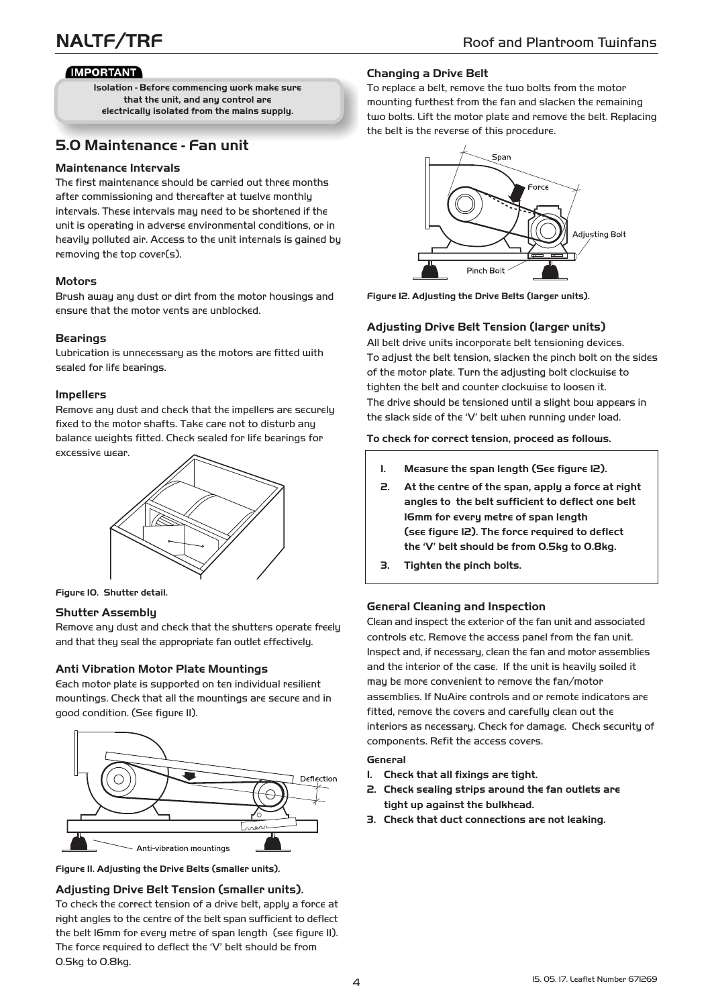## **IMPORTANT**

**Isolation - Before commencing work make sure that the unit, and any control are electrically isolated from the mains supply.**

# **5.0 Maintenance - Fan unit**

#### **Maintenance Intervals**

The first maintenance should be carried out three months after commissioning and thereafter at twelve monthly intervals. These intervals may need to be shortened if the unit is operating in adverse environmental conditions, or in heavily polluted air. Access to the unit internals is gained by removing the top cover(s).

## **Motors**

Brush away any dust or dirt from the motor housings and ensure that the motor vents are unblocked.

## **Bearings**

Lubrication is unnecessary as the motors are fitted with sealed for life bearings.

#### **Impellers**

Remove any dust and check that the impellers are securely fixed to the motor shafts. Take care not to disturb any balance weights fitted. Check sealed for life bearings for excessive wear.



**Figure 10. Shutter detail.**

#### **Shutter Assembly**

Remove any dust and check that the shutters operate freely and that they seal the appropriate fan outlet effectively.

#### **Anti Vibration Motor Plate Mountings**

Each motor plate is supported on ten individual resilient mountings. Check that all the mountings are secure and in good condition. (See figure 11).



**Figure 11. Adjusting the Drive Belts (smaller units).**

#### **Adjusting Drive Belt Tension (smaller units).**

To check the correct tension of a drive belt, apply a force at right angles to the centre of the belt span sufficient to deflect the belt 16mm for every metre of span length (see figure 11). The force required to deflect the 'V' belt should be from 0.5kg to 0.8kg.

#### **Changing a Drive Belt**

To replace a belt, remove the two bolts from the motor mounting furthest from the fan and slacken the remaining two bolts. Lift the motor plate and remove the belt. Replacing the belt is the reverse of this procedure.



**Figure 12. Adjusting the Drive Belts (larger units).**

## **Adjusting Drive Belt Tension (larger units)**

All belt drive units incorporate belt tensioning devices. To adjust the belt tension, slacken the pinch bolt on the sides of the motor plate. Turn the adjusting bolt clockwise to tighten the belt and counter clockwise to loosen it. The drive should be tensioned until a slight bow appears in the slack side of the 'V' belt when running under load.

#### **To check for correct tension, proceed as follows.**

- **1. Measure the span length (See figure 12).**
- **2. At the centre of the span, apply a force at right angles to the belt sufficient to deflect one belt 16mm for every metre of span length (see figure 12). The force required to deflect the 'V' belt should be from 0.5kg to 0.8kg.**
- **3. Tighten the pinch bolts.**

#### **General Cleaning and Inspection**

Clean and inspect the exterior of the fan unit and associated controls etc. Remove the access panel from the fan unit. Inspect and, if necessary, clean the fan and motor assemblies and the interior of the case. If the unit is heavily soiled it may be more convenient to remove the fan/motor assemblies. If NuAire controls and or remote indicators are fitted, remove the covers and carefully clean out the interiors as necessary. Check for damage. Check security of components. Refit the access covers.

#### **General**

- **1. Check that all fixings are tight.**
- **2. Check sealing strips around the fan outlets are tight up against the bulkhead.**
- **3. Check that duct connections are not leaking.**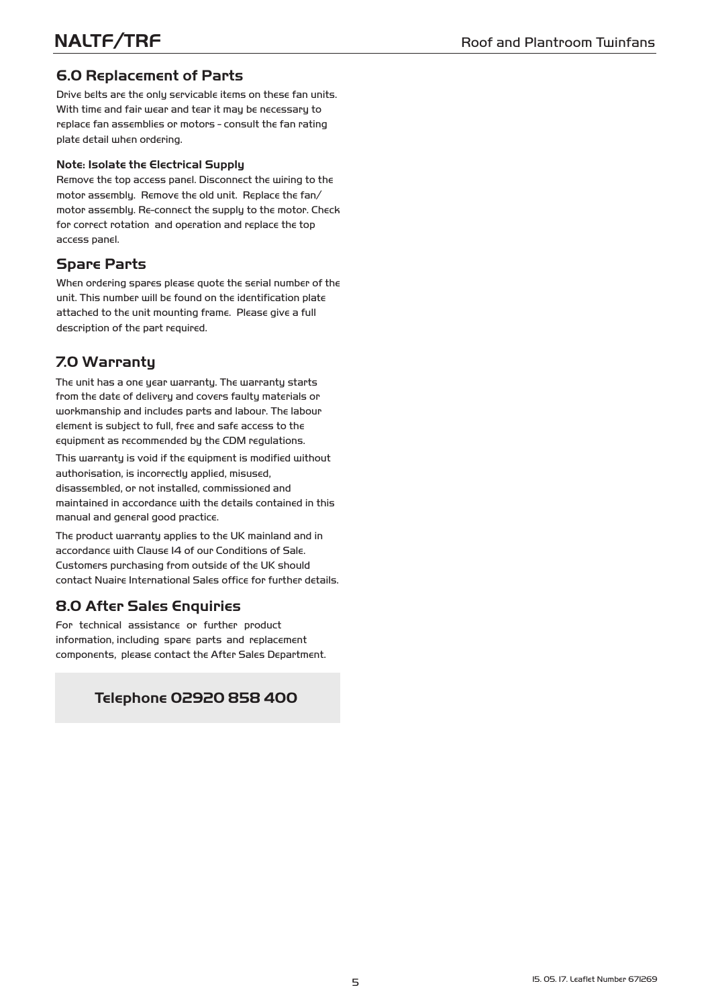# **6.0 Replacement of Parts**

Drive belts are the only servicable items on these fan units. With time and fair wear and tear it may be necessary to replace fan assemblies or motors - consult the fan rating plate detail when ordering.

## **Note: Isolate the Electrical Supply**

Remove the top access panel. Disconnect the wiring to the motor assembly. Remove the old unit. Replace the fan/ motor assembly. Re-connect the supply to the motor. Check for correct rotation and operation and replace the top access panel.

# **Spare Parts**

When ordering spares please quote the serial number of the unit. This number will be found on the identification plate attached to the unit mounting frame. Please give a full description of the part required.

# **7.0 Warranty**

The unit has a one year warranty. The warranty starts from the date of delivery and covers faulty materials or workmanship and includes parts and labour. The labour element is subject to full, free and safe access to the equipment as recommended by the CDM regulations.

This warranty is void if the equipment is modified without authorisation, is incorrectly applied, misused, disassembled, or not installed, commissioned and maintained in accordance with the details contained in this manual and general good practice.

The product warranty applies to the UK mainland and in accordance with Clause 14 of our Conditions of Sale. Customers purchasing from outside of the UK should contact Nuaire International Sales office for further details.

## 8.0 After Sales Enquiries

For technical assistance or further product information, including spare parts and replacement components, please contact the After Sales Department.

# **Telephone 02920 858 400**